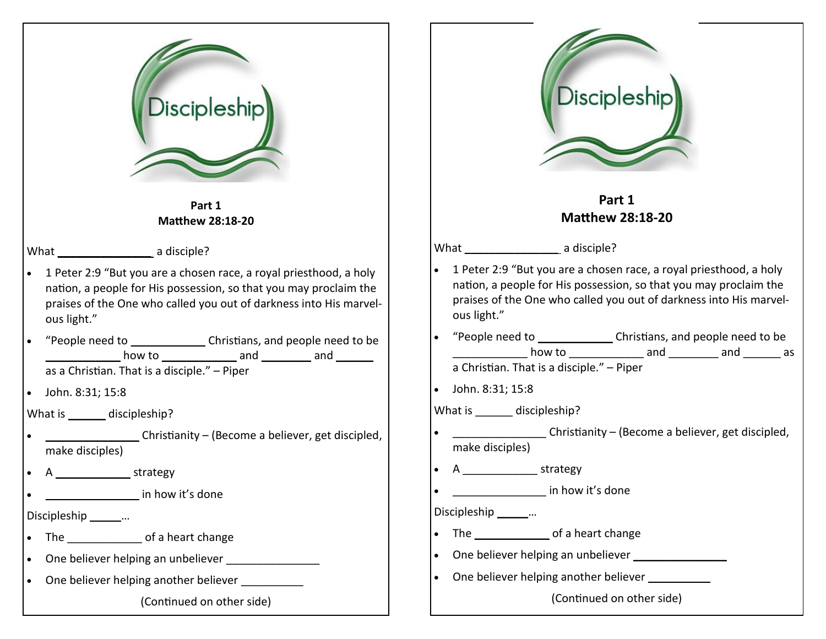| Discipleship                                                                                                                                                                                                                 | <b>Discipleship</b>                                                                                                                                                                                                          |
|------------------------------------------------------------------------------------------------------------------------------------------------------------------------------------------------------------------------------|------------------------------------------------------------------------------------------------------------------------------------------------------------------------------------------------------------------------------|
| Part 1<br><b>Matthew 28:18-20</b>                                                                                                                                                                                            | Part 1<br><b>Matthew 28:18-20</b>                                                                                                                                                                                            |
|                                                                                                                                                                                                                              | What a disciple?                                                                                                                                                                                                             |
| 1 Peter 2:9 "But you are a chosen race, a royal priesthood, a holy<br>nation, a people for His possession, so that you may proclaim the<br>praises of the One who called you out of darkness into His marvel-<br>ous light." | 1 Peter 2:9 "But you are a chosen race, a royal priesthood, a holy<br>nation, a people for His possession, so that you may proclaim the<br>praises of the One who called you out of darkness into His marvel-<br>ous light." |
| "People need to _________________Christians, and people need to be<br>how to __________________ and __________ and ________<br>as a Christian. That is a disciple." - Piper                                                  | "People need to _________________Christians, and people need to be<br>how to _______________ and _________ and _________ as<br>a Christian. That is a disciple." - Piper                                                     |
| John. 8:31; 15:8                                                                                                                                                                                                             | John. 8:31; 15:8                                                                                                                                                                                                             |
| What is _______ discipleship?                                                                                                                                                                                                | What is _______ discipleship?                                                                                                                                                                                                |
| Christianity - (Become a believer, get discipled,<br>make disciples)                                                                                                                                                         | Christianity – (Become a believer, get discipled,<br>make disciples)                                                                                                                                                         |
| strategy                                                                                                                                                                                                                     |                                                                                                                                                                                                                              |
| in how it's done                                                                                                                                                                                                             | in how it's done                                                                                                                                                                                                             |
| Discipleship ________                                                                                                                                                                                                        | Discipleship _______                                                                                                                                                                                                         |
|                                                                                                                                                                                                                              |                                                                                                                                                                                                                              |
| $\bullet$                                                                                                                                                                                                                    | One believer helping an unbeliever                                                                                                                                                                                           |
| One believer helping another believer<br>$\bullet$                                                                                                                                                                           | One believer helping another believer                                                                                                                                                                                        |
| (Continued on other side)                                                                                                                                                                                                    | (Continued on other side)                                                                                                                                                                                                    |